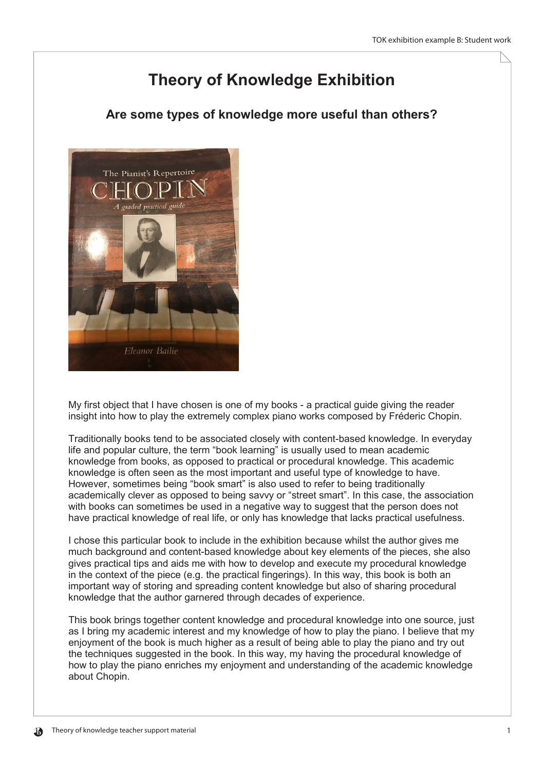## **Theory of Knowledge Exhibition**

## Are some types of knowledge more useful than others?



My first object that I have chosen is one of my books - a practical guide giving the reader insight into how to play the extremely complex piano works composed by Fréderic Chopin.

Traditionally books tend to be associated closely with content-based knowledge. In everyday life and popular culture, the term "book learning" is usually used to mean academic knowledge from books, as opposed to practical or procedural knowledge. This academic knowledge is often seen as the most important and useful type of knowledge to have. However, sometimes being "book smart" is also used to refer to being traditionally academically clever as opposed to being savvy or "street smart". In this case, the association with books can sometimes be used in a negative way to suggest that the person does not have practical knowledge of real life, or only has knowledge that lacks practical usefulness.

I chose this particular book to include in the exhibition because whilst the author gives me much background and content-based knowledge about key elements of the pieces, she also gives practical tips and aids me with how to develop and execute my procedural knowledge in the context of the piece (e.g. the practical fingerings). In this way, this book is both an important way of storing and spreading content knowledge but also of sharing procedural knowledge that the author garnered through decades of experience.

This book brings together content knowledge and procedural knowledge into one source, just as I bring my academic interest and my knowledge of how to play the piano. I believe that my enjoyment of the book is much higher as a result of being able to play the piano and try out the techniques suggested in the book. In this way, my having the procedural knowledge of how to play the piano enriches my enjoyment and understanding of the academic knowledge about Chopin.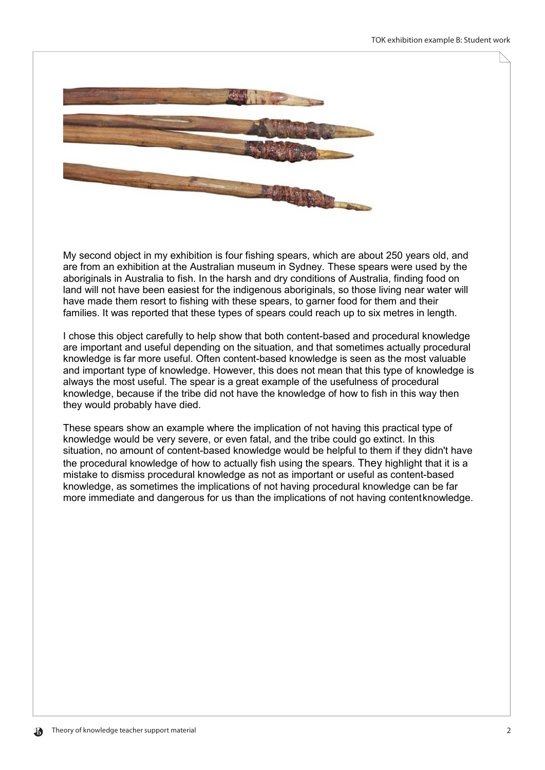

My second object in my exhibition is four fishing spears, which are about 250 years old, and are from an exhibition at the Australian museum in Sydney. These spears were used by the aboriginals in Australia to fish. In the harsh and dry conditions of Australia, finding food on land will not have been easiest for the indigenous aboriginals, so those living near water will have made them resort to fishing with these spears, to garner food for them and their families. It was reported that these types of spears could reach up to six metres in length.

I chose this object carefully to help show that both content-based and procedural knowledge are important and useful depending on the situation, and that sometimes actually procedural knowledge is far more useful. Often content-based knowledge is seen as the most valuable and important type of knowledge. However, this does not mean that this type of knowledge is always the most useful. The spear is a great example of the usefulness of procedural knowledge, because if the tribe did not have the knowledge of how to fish in this way then they would probably have died.

These spears show an example where the implication of not having this practical type of knowledge would be very severe, or even fatal, and the tribe could go extinct. In this situation, no amount of content-based knowledge would be helpful to them if they didn't have the procedural knowledge of how to actually fish using the spears. They highlight that it is a mistake to dismiss procedural knowledge as not as important or useful as content-based knowledge, as sometimes the implications of not having procedural knowledge can be far more immediate and dangerous for us than the implications of not having content knowledge.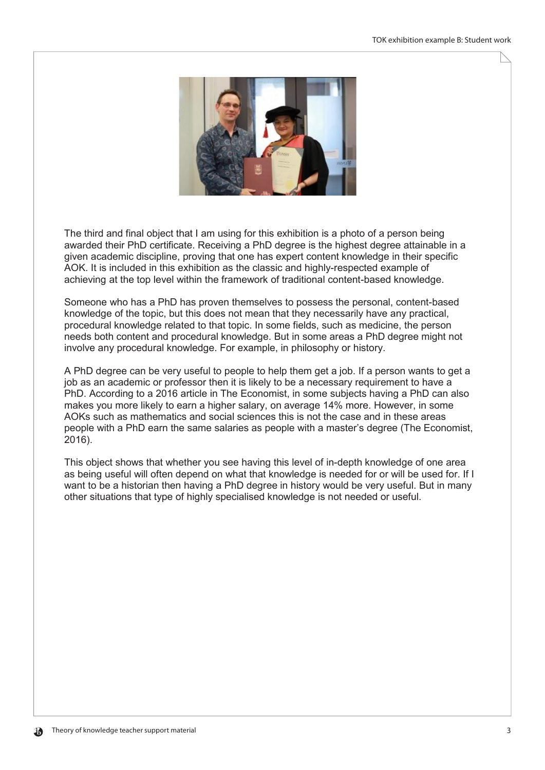

The third and final object that I am using for this exhibition is a photo of a person being awarded their PhD certificate. Receiving a PhD degree is the highest degree attainable in a given academic discipline, proving that one has expert content knowledge in their specific AOK. It is included in this exhibition as the classic and highly-respected example of achieving at the top level within the framework of traditional content-based knowledge.

Someone who has a PhD has proven themselves to possess the personal, content-based knowledge of the topic, but this does not mean that they necessarily have any practical, procedural knowledge related to that topic. In some fields, such as medicine, the person needs both content and procedural knowledge. But in some areas a PhD degree might not involve any procedural knowledge. For example, in philosophy or history.

A PhD degree can be very useful to people to help them get a job. If a person wants to get a job as an academic or professor then it is likely to be a necessary requirement to have a PhD. According to a 2016 article in The Economist, in some subjects having a PhD can also makes you more likely to earn a higher salary, on average 14% more. However, in some AOKs such as mathematics and social sciences this is not the case and in these areas people with a PhD earn the same salaries as people with a master's degree (The Economist.  $2016$ ).

This object shows that whether you see having this level of in-depth knowledge of one area as being useful will often depend on what that knowledge is needed for or will be used for. If I want to be a historian then having a PhD degree in history would be very useful. But in many other situations that type of highly specialised knowledge is not needed or useful.